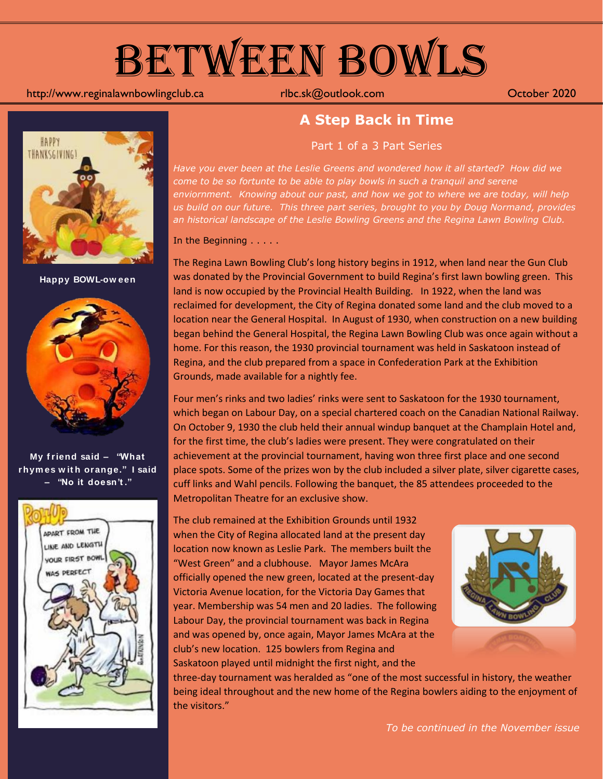

#### http://www.reginalawnbowlingclub.ca rlbc.sk@outlook.com October 2020



**Happy BOWL-ow een**



**My f riend said – "What rhym es w it h orange." I said – "No it doesn't ."**



#### **A Step Back in Time**

Part 1 of a 3 Part Series

*Have you ever been at the Leslie Greens and wondered how it all started? How did we come to be so fortunte to be able to play bowls in such a tranquil and serene enviornment. Knowing about our past, and how we got to where we are today, will help us build on our future. This three part series, brought to you by Doug Normand, provides an historical landscape of the Leslie Bowling Greens and the Regina Lawn Bowling Club.*

In the Beginning . . . . .

The Regina Lawn Bowling Club's long history begins in 1912, when land near the Gun Club was donated by the Provincial Government to build Regina's first lawn bowling green. This land is now occupied by the Provincial Health Building. In 1922, when the land was reclaimed for development, the City of Regina donated some land and the club moved to a location near the General Hospital. In August of 1930, when construction on a new building began behind the General Hospital, the Regina Lawn Bowling Club was once again without a home. For this reason, the 1930 provincial tournament was held in Saskatoon instead of Regina, and the club prepared from a space in Confederation Park at the Exhibition Grounds, made available for a nightly fee.

Four men's rinks and two ladies' rinks were sent to Saskatoon for the 1930 tournament, which began on Labour Day, on a special chartered coach on the Canadian National Railway. On October 9, 1930 the club held their annual windup banquet at the Champlain Hotel and, for the first time, the club's ladies were present. They were congratulated on their achievement at the provincial tournament, having won three first place and one second place spots. Some of the prizes won by the club included a silver plate, silver cigarette cases, cuff links and Wahl pencils. Following the banquet, the 85 attendees proceeded to the Metropolitan Theatre for an exclusive show.

The club remained at the Exhibition Grounds until 1932 when the City of Regina allocated land at the present day location now known as Leslie Park. The members built the "West Green" and a clubhouse. Mayor James McAra officially opened the new green, located at the present-day Victoria Avenue location, for the Victoria Day Games that year. Membership was 54 men and 20 ladies. The following Labour Day, the provincial tournament was back in Regina and was opened by, once again, Mayor James McAra at the club's new location. 125 bowlers from Regina and Saskatoon played until midnight the first night, and the



three-day tournament was heralded as "one of the most successful in history, the weather being ideal throughout and the new home of the Regina bowlers aiding to the enjoyment of the visitors."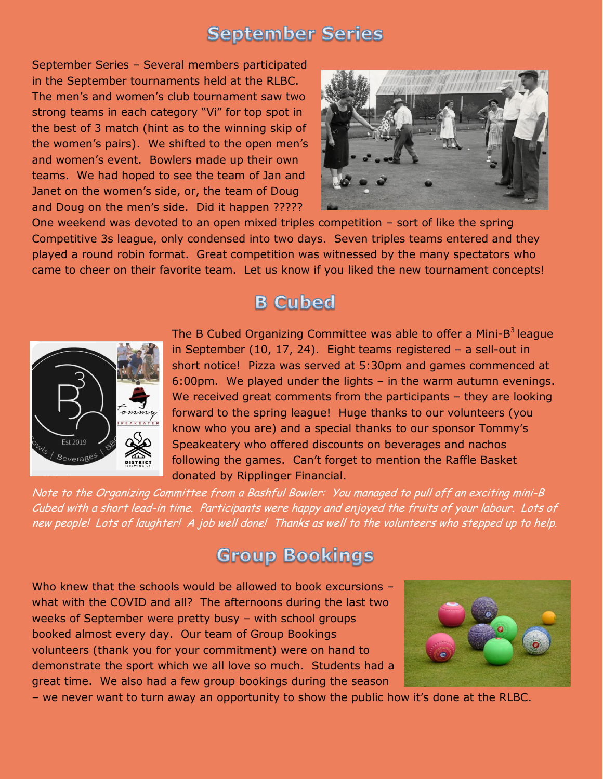#### **September Series**

September Series – Several members participated in the September tournaments held at the RLBC. The men's and women's club tournament saw two strong teams in each category "Vi" for top spot in the best of 3 match (hint as to the winning skip of the women's pairs). We shifted to the open men's and women's event. Bowlers made up their own teams. We had hoped to see the team of Jan and Janet on the women's side, or, the team of Doug and Doug on the men's side. Did it happen ?????



One weekend was devoted to an open mixed triples competition – sort of like the spring Competitive 3s league, only condensed into two days. Seven triples teams entered and they played a round robin format. Great competition was witnessed by the many spectators who came to cheer on their favorite team. Let us know if you liked the new tournament concepts!

## **B** Cubed



The B Cubed Organizing Committee was able to offer a Mini-B<sup>3</sup> league in September (10, 17, 24). Eight teams registered – a sell-out in short notice! Pizza was served at 5:30pm and games commenced at 6:00pm. We played under the lights – in the warm autumn evenings. We received great comments from the participants – they are looking forward to the spring league! Huge thanks to our volunteers (you know who you are) and a special thanks to our sponsor Tommy's Speakeatery who offered discounts on beverages and nachos following the games. Can't forget to mention the Raffle Basket donated by Ripplinger Financial.

Note to the Organizing Committee from a Bashful Bowler: You managed to pull off an exciting mini-B Cubed with a short lead-in time. Participants were happy and enjoyed the fruits of your labour. Lots of new people! Lots of laughter! A job well done! Thanks as well to the volunteers who stepped up to help.

#### **Group Bookings**

Who knew that the schools would be allowed to book excursions what with the COVID and all? The afternoons during the last two weeks of September were pretty busy – with school groups booked almost every day. Our team of Group Bookings volunteers (thank you for your commitment) were on hand to demonstrate the sport which we all love so much. Students had a great time. We also had a few group bookings during the season



– we never want to turn away an opportunity to show the public how it's done at the RLBC.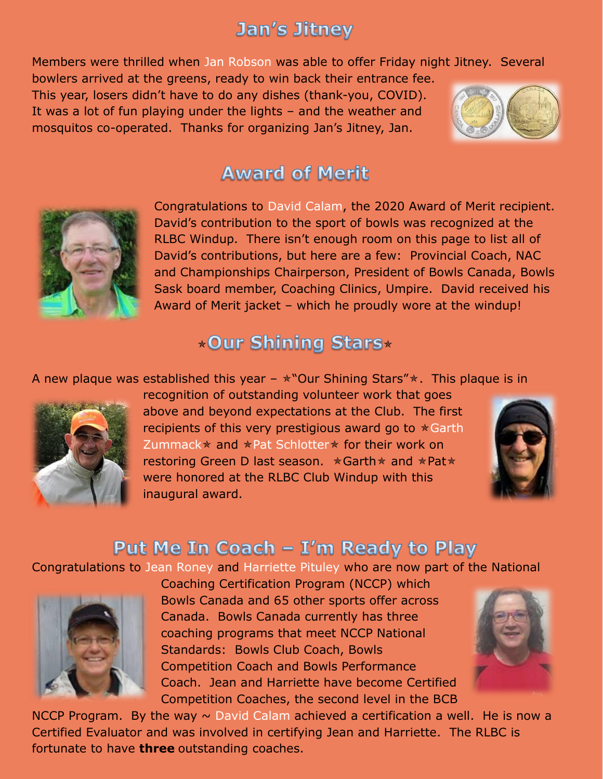# **Jan's Jitney**

Members were thrilled when Jan Robson was able to offer Friday night Jitney. Several

bowlers arrived at the greens, ready to win back their entrance fee. This year, losers didn't have to do any dishes (thank-you, COVID). It was a lot of fun playing under the lights – and the weather and mosquitos co-operated. Thanks for organizing Jan's Jitney, Jan.



### **Award of Merit**



Congratulations to David Calam, the 2020 Award of Merit recipient. David's contribution to the sport of bowls was recognized at the RLBC Windup. There isn't enough room on this page to list all of David's contributions, but here are a few: Provincial Coach, NAC and Championships Chairperson, President of Bowls Canada, Bowls Sask board member, Coaching Clinics, Umpire. David received his Award of Merit jacket – which he proudly wore at the windup!

# \*Our Shining Stars\*

A new plaque was established this year  $-\ast$  "Our Shining Stars" $\ast$ . This plaque is in



recognition of outstanding volunteer work that goes above and beyond expectations at the Club. The first recipients of this very prestigious award go to  $*$  Garth Zummack  $*$  and  $*$  Pat Schlotter  $*$  for their work on restoring Green D last season.  $\star$  Garth  $\star$  and  $\star$  Pat $\star$ were honored at the RLBC Club Windup with this inaugural award.



## Put Me In Coach – I'm Ready to Play

Congratulations to Jean Roney and Harriette Pituley who are now part of the National



Coaching Certification Program (NCCP) which Bowls Canada and 65 other sports offer across Canada. Bowls Canada currently has three coaching programs that meet NCCP National Standards: Bowls Club Coach, Bowls Competition Coach and Bowls Performance Coach. Jean and Harriette have become Certified Competition Coaches, the second level in the BCB



NCCP Program. By the way  $\sim$  David Calam achieved a certification a well. He is now a Certified Evaluator and was involved in certifying Jean and Harriette. The RLBC is fortunate to have **three** outstanding coaches.